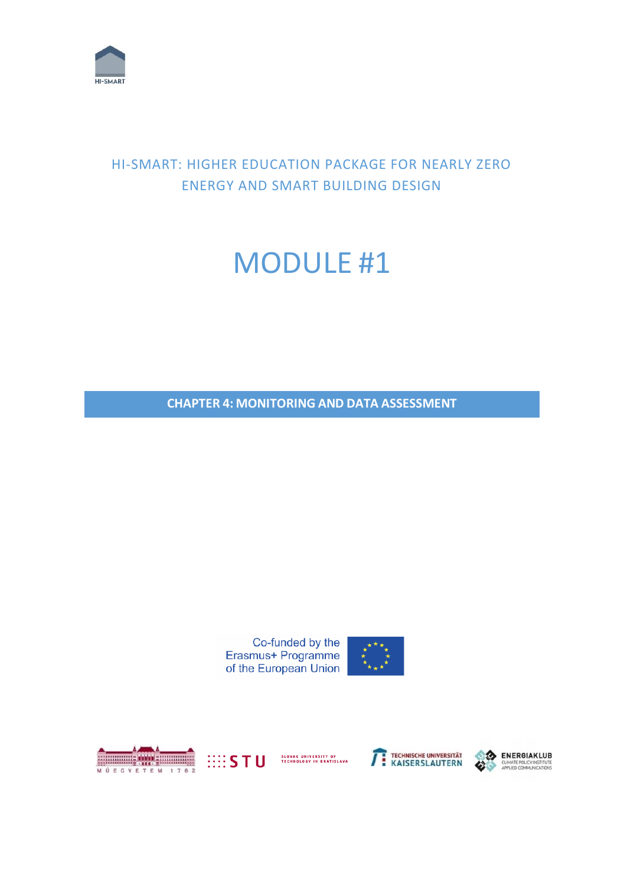

## HI-SMART: HIGHER EDUCATION PACKAGE FOR NEARLY ZERO ENERGY AND SMART BUILDING DESIGN

## MODULE #1

**CHAPTER 4: MONITORING AND DATA ASSESSMENT**





Erasmus+ Programme of the European Union





SLOVAK UNIVERSITY OF<br>TECHNOLOGY IN BRATISLAVA





CLIMATE POLICY INSTITUTE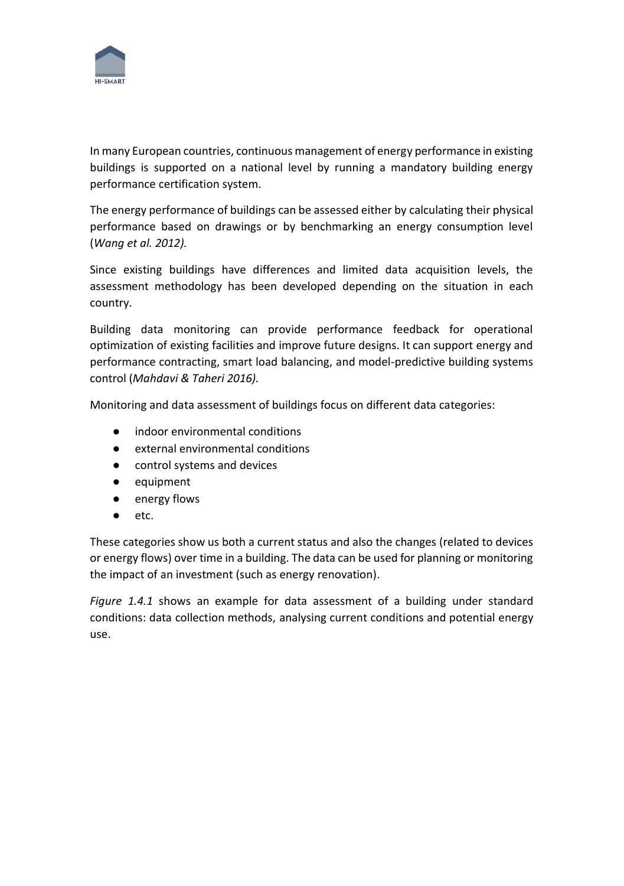

In many European countries, continuous management of energy performance in existing buildings is supported on a national level by running a mandatory building energy performance certification system.

The energy performance of buildings can be assessed either by calculating their physical performance based on drawings or by benchmarking an energy consumption level (*Wang et al. 2012).*

Since existing buildings have differences and limited data acquisition levels, the assessment methodology has been developed depending on the situation in each country.

Building data monitoring can provide performance feedback for operational optimization of existing facilities and improve future designs. It can support energy and performance contracting, smart load balancing, and model-predictive building systems control (*Mahdavi & Taheri 2016).*

Monitoring and data assessment of buildings focus on different data categories:

- indoor environmental conditions
- external environmental conditions
- control systems and devices
- equipment
- energy flows
- etc.

These categories show us both a current status and also the changes (related to devices or energy flows) over time in a building. The data can be used for planning or monitoring the impact of an investment (such as energy renovation).

*Figure 1.4.1* shows an example for data assessment of a building under standard conditions: data collection methods, analysing current conditions and potential energy use.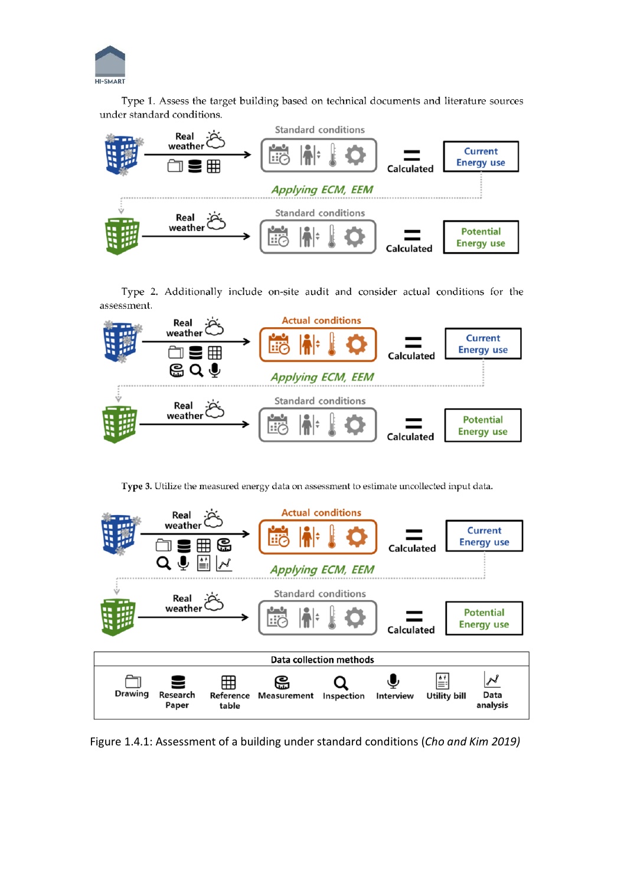

Type 1. Assess the target building based on technical documents and literature sources under standard conditions.



Type 2. Additionally include on-site audit and consider actual conditions for the assessment.



Type 3. Utilize the measured energy data on assessment to estimate uncollected input data.



Figure 1.4.1: Assessment of a building under standard conditions (*Cho and Kim 2019)*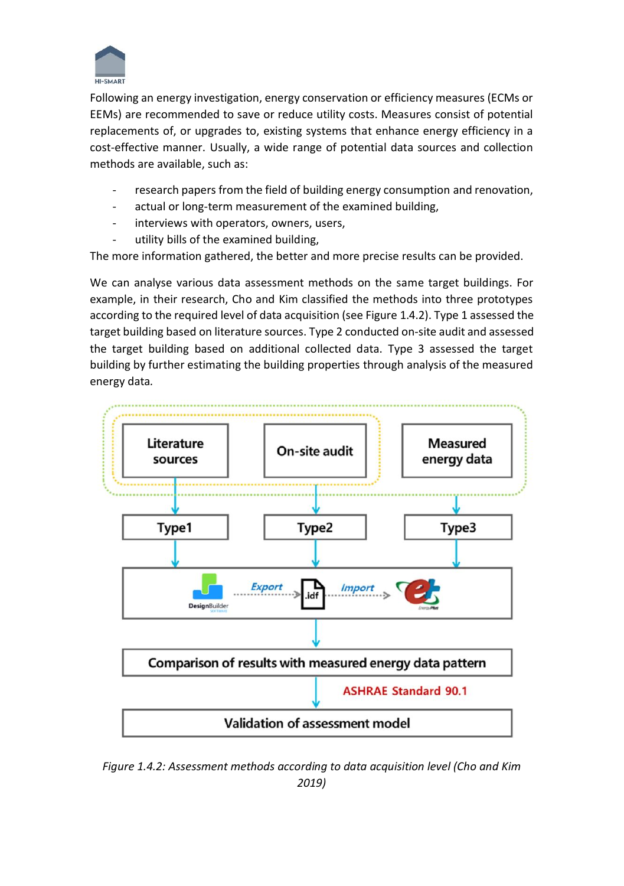

Following an energy investigation, energy conservation or efficiency measures (ECMs or EEMs) are recommended to save or reduce utility costs. Measures consist of potential replacements of, or upgrades to, existing systems that enhance energy efficiency in a cost-effective manner. Usually, a wide range of potential data sources and collection methods are available, such as:

- research papers from the field of building energy consumption and renovation,
- actual or long-term measurement of the examined building,
- interviews with operators, owners, users,
- utility bills of the examined building,

The more information gathered, the better and more precise results can be provided.

We can analyse various data assessment methods on the same target buildings. For example, in their research, Cho and Kim classified the methods into three prototypes according to the required level of data acquisition (see Figure 1.4.2). Type 1 assessed the target building based on literature sources. Type 2 conducted on-site audit and assessed the target building based on additional collected data. Type 3 assessed the target building by further estimating the building properties through analysis of the measured energy data*.*



*Figure 1.4.2: Assessment methods according to data acquisition level (Cho and Kim 2019)*